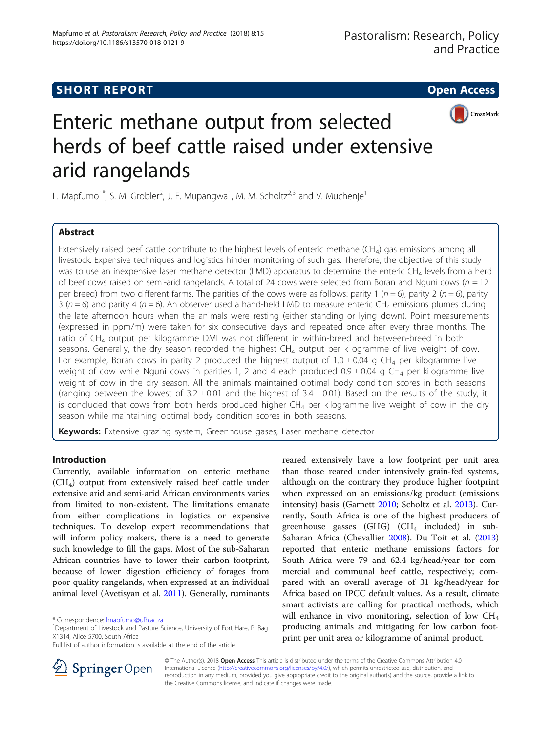## **SHORT REPORT SHORT CONSUMING THE OPEN ACCESS**



# Enteric methane output from selected herds of beef cattle raised under extensive arid rangelands

L. Mapfumo<sup>1\*</sup>, S. M. Grobler<sup>2</sup>, J. F. Mupangwa<sup>1</sup>, M. M. Scholtz<sup>2,3</sup> and V. Muchenje<sup>1</sup>

## Abstract

Extensively raised beef cattle contribute to the highest levels of enteric methane  $(CH<sub>A</sub>)$  gas emissions among all livestock. Expensive techniques and logistics hinder monitoring of such gas. Therefore, the objective of this study was to use an inexpensive laser methane detector (LMD) apparatus to determine the enteric CH<sub>4</sub> levels from a herd of beef cows raised on semi-arid rangelands. A total of 24 cows were selected from Boran and Nguni cows ( $n = 12$ ) per breed) from two different farms. The parities of the cows were as follows: parity 1 ( $n = 6$ ), parity 2 ( $n = 6$ ), parity 3 ( $n = 6$ ) and parity 4 ( $n = 6$ ). An observer used a hand-held LMD to measure enteric CH<sub>4</sub> emissions plumes during the late afternoon hours when the animals were resting (either standing or lying down). Point measurements (expressed in ppm/m) were taken for six consecutive days and repeated once after every three months. The ratio of CH4 output per kilogramme DMI was not different in within-breed and between-breed in both seasons. Generally, the dry season recorded the highest  $CH_4$  output per kilogramme of live weight of cow. For example, Boran cows in parity 2 produced the highest output of  $1.0 \pm 0.04$  g CH<sub>4</sub> per kilogramme live weight of cow while Nguni cows in parities 1, 2 and 4 each produced  $0.9 \pm 0.04$  g CH<sub>4</sub> per kilogramme live weight of cow in the dry season. All the animals maintained optimal body condition scores in both seasons (ranging between the lowest of  $3.2 \pm 0.01$  and the highest of  $3.4 \pm 0.01$ ). Based on the results of the study, it is concluded that cows from both herds produced higher  $CH_4$  per kilogramme live weight of cow in the dry season while maintaining optimal body condition scores in both seasons.

Keywords: Extensive grazing system, Greenhouse gases, Laser methane detector

## Introduction

Currently, available information on enteric methane (CH4) output from extensively raised beef cattle under extensive arid and semi-arid African environments varies from limited to non-existent. The limitations emanate from either complications in logistics or expensive techniques. To develop expert recommendations that will inform policy makers, there is a need to generate such knowledge to fill the gaps. Most of the sub-Saharan African countries have to lower their carbon footprint, because of lower digestion efficiency of forages from poor quality rangelands, when expressed at an individual animal level (Avetisyan et al. [2011](#page-6-0)). Generally, ruminants

Full list of author information is available at the end of the article





© The Author(s). 2018 Open Access This article is distributed under the terms of the Creative Commons Attribution 4.0 International License ([http://creativecommons.org/licenses/by/4.0/\)](http://creativecommons.org/licenses/by/4.0/), which permits unrestricted use, distribution, and reproduction in any medium, provided you give appropriate credit to the original author(s) and the source, provide a link to the Creative Commons license, and indicate if changes were made.

<sup>\*</sup> Correspondence: [lmapfumo@ufh.ac.za](mailto:lmapfumo@ufh.ac.za) <sup>1</sup>

<sup>&</sup>lt;sup>1</sup>Department of Livestock and Pasture Science, University of Fort Hare, P. Bag X1314, Alice 5700, South Africa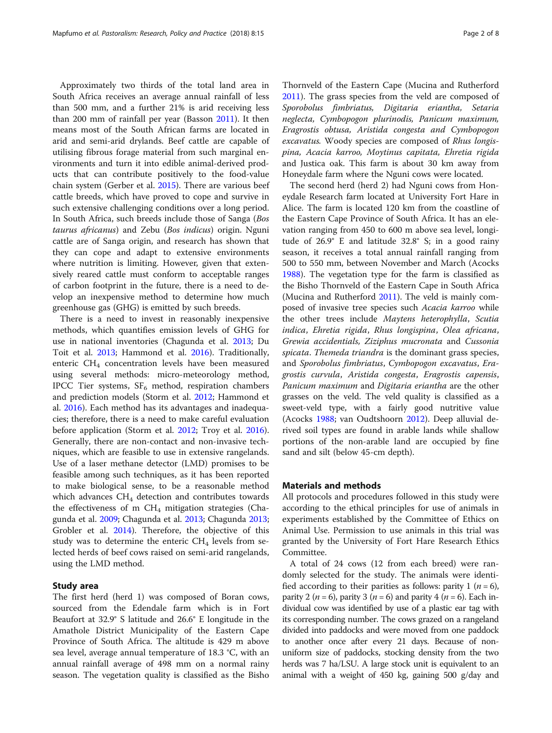Approximately two thirds of the total land area in South Africa receives an average annual rainfall of less than 500 mm, and a further 21% is arid receiving less than 200 mm of rainfall per year (Basson [2011](#page-6-0)). It then means most of the South African farms are located in arid and semi-arid drylands. Beef cattle are capable of utilising fibrous forage material from such marginal environments and turn it into edible animal-derived products that can contribute positively to the food-value chain system (Gerber et al. [2015\)](#page-6-0). There are various beef cattle breeds, which have proved to cope and survive in such extensive challenging conditions over a long period. In South Africa, such breeds include those of Sanga (Bos taurus africanus) and Zebu (Bos indicus) origin. Nguni cattle are of Sanga origin, and research has shown that they can cope and adapt to extensive environments where nutrition is limiting. However, given that extensively reared cattle must conform to acceptable ranges of carbon footprint in the future, there is a need to develop an inexpensive method to determine how much greenhouse gas (GHG) is emitted by such breeds.

There is a need to invest in reasonably inexpensive methods, which quantifies emission levels of GHG for use in national inventories (Chagunda et al. [2013](#page-6-0); Du Toit et al. [2013](#page-6-0); Hammond et al. [2016\)](#page-6-0). Traditionally, enteric CH<sub>4</sub> concentration levels have been measured using several methods: micro-meteorology method, IPCC Tier systems,  $SF_6$  method, respiration chambers and prediction models (Storm et al. [2012](#page-7-0); Hammond et al. [2016\)](#page-6-0). Each method has its advantages and inadequacies; therefore, there is a need to make careful evaluation before application (Storm et al. [2012](#page-7-0); Troy et al. [2016](#page-7-0)). Generally, there are non-contact and non-invasive techniques, which are feasible to use in extensive rangelands. Use of a laser methane detector (LMD) promises to be feasible among such techniques, as it has been reported to make biological sense, to be a reasonable method which advances  $CH<sub>4</sub>$  detection and contributes towards the effectiveness of m  $CH_4$  mitigation strategies (Chagunda et al. [2009](#page-6-0); Chagunda et al. [2013](#page-6-0); Chagunda [2013](#page-6-0); Grobler et al. [2014](#page-6-0)). Therefore, the objective of this study was to determine the enteric  $CH<sub>4</sub>$  levels from selected herds of beef cows raised on semi-arid rangelands, using the LMD method.

## Study area

The first herd (herd 1) was composed of Boran cows, sourced from the Edendale farm which is in Fort Beaufort at 32.9° S latitude and 26.6° E longitude in the Amathole District Municipality of the Eastern Cape Province of South Africa. The altitude is 429 m above sea level, average annual temperature of 18.3 °C, with an annual rainfall average of 498 mm on a normal rainy season. The vegetation quality is classified as the Bisho

Thornveld of the Eastern Cape (Mucina and Rutherford [2011](#page-7-0)). The grass species from the veld are composed of Sporobolus fimbriatus, Digitaria eriantha, Setaria neglecta, Cymbopogon plurinodis, Panicum maximum, Eragrostis obtusa, Aristida congesta and Cymbopogon excavatus. Woody species are composed of Rhus longispina, Acacia karroo, Moytinus capitata, Ehretia rigida and Justica oak. This farm is about 30 km away from Honeydale farm where the Nguni cows were located.

The second herd (herd 2) had Nguni cows from Honeydale Research farm located at University Fort Hare in Alice. The farm is located 120 km from the coastline of the Eastern Cape Province of South Africa. It has an elevation ranging from 450 to 600 m above sea level, longitude of 26.9° E and latitude 32.8° S; in a good rainy season, it receives a total annual rainfall ranging from 500 to 550 mm, between November and March (Acocks [1988](#page-6-0)). The vegetation type for the farm is classified as the Bisho Thornveld of the Eastern Cape in South Africa (Mucina and Rutherford [2011\)](#page-7-0). The veld is mainly composed of invasive tree species such Acacia karroo while the other trees include Maytens heterophylla, Scutia indica, Ehretia rigida, Rhus longispina, Olea africana, Grewia accidentials, Ziziphus mucronata and Cussonia spicata. Themeda triandra is the dominant grass species, and Sporobolus fimbriatus, Cymbopogon excavatus, Eragrostis curvula, Aristida congesta, Eragrostis capensis, Panicum maximum and Digitaria eriantha are the other grasses on the veld. The veld quality is classified as a sweet-veld type, with a fairly good nutritive value (Acocks [1988;](#page-6-0) van Oudtshoorn [2012](#page-7-0)). Deep alluvial derived soil types are found in arable lands while shallow portions of the non-arable land are occupied by fine sand and silt (below 45-cm depth).

#### Materials and methods

All protocols and procedures followed in this study were according to the ethical principles for use of animals in experiments established by the Committee of Ethics on Animal Use. Permission to use animals in this trial was granted by the University of Fort Hare Research Ethics Committee.

A total of 24 cows (12 from each breed) were randomly selected for the study. The animals were identified according to their parities as follows: parity 1 ( $n = 6$ ), parity 2 ( $n = 6$ ), parity 3 ( $n = 6$ ) and parity 4 ( $n = 6$ ). Each individual cow was identified by use of a plastic ear tag with its corresponding number. The cows grazed on a rangeland divided into paddocks and were moved from one paddock to another once after every 21 days. Because of nonuniform size of paddocks, stocking density from the two herds was 7 ha/LSU. A large stock unit is equivalent to an animal with a weight of 450 kg, gaining 500 g/day and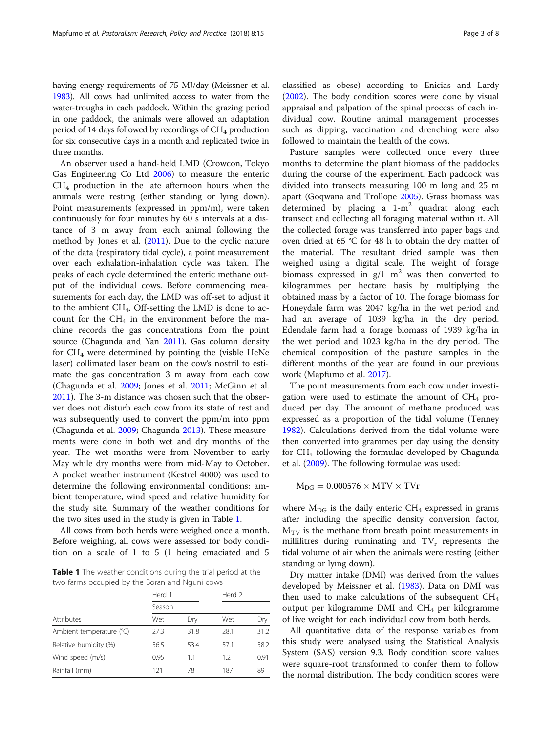having energy requirements of 75 MJ/day (Meissner et al. [1983\)](#page-7-0). All cows had unlimited access to water from the water-troughs in each paddock. Within the grazing period in one paddock, the animals were allowed an adaptation period of 14 days followed by recordings of  $CH<sub>4</sub>$  production for six consecutive days in a month and replicated twice in three months.

An observer used a hand-held LMD (Crowcon, Tokyo Gas Engineering Co Ltd [2006](#page-6-0)) to measure the enteric  $CH<sub>4</sub>$  production in the late afternoon hours when the animals were resting (either standing or lying down). Point measurements (expressed in ppm/m), were taken continuously for four minutes by 60 s intervals at a distance of 3 m away from each animal following the method by Jones et al. ([2011](#page-7-0)). Due to the cyclic nature of the data (respiratory tidal cycle), a point measurement over each exhalation-inhalation cycle was taken. The peaks of each cycle determined the enteric methane output of the individual cows. Before commencing measurements for each day, the LMD was off-set to adjust it to the ambient CH4. Off-setting the LMD is done to account for the  $CH<sub>4</sub>$  in the environment before the machine records the gas concentrations from the point source (Chagunda and Yan [2011](#page-6-0)). Gas column density for  $CH_4$  were determined by pointing the (visble HeNe laser) collimated laser beam on the cow's nostril to estimate the gas concentration 3 m away from each cow (Chagunda et al. [2009](#page-6-0); Jones et al. [2011;](#page-7-0) McGinn et al. [2011](#page-7-0)). The 3-m distance was chosen such that the observer does not disturb each cow from its state of rest and was subsequently used to convert the ppm/m into ppm (Chagunda et al. [2009](#page-6-0); Chagunda [2013\)](#page-6-0). These measurements were done in both wet and dry months of the year. The wet months were from November to early May while dry months were from mid-May to October. A pocket weather instrument (Kestrel 4000) was used to determine the following environmental conditions: ambient temperature, wind speed and relative humidity for the study site. Summary of the weather conditions for the two sites used in the study is given in Table 1.

All cows from both herds were weighed once a month. Before weighing, all cows were assessed for body condition on a scale of 1 to 5 (1 being emaciated and 5

Table 1 The weather conditions during the trial period at the two farms occupied by the Boran and Nguni cows

|                          | Herd 1 |      | Herd 2 |      |
|--------------------------|--------|------|--------|------|
|                          | Season |      |        |      |
| Attributes               | Wet    | Dry  | Wet    | Dry  |
| Ambient temperature (°C) | 27.3   | 31.8 | 28.1   | 31.2 |
| Relative humidity (%)    | 56.5   | 53.4 | 57.1   | 58.2 |
| Wind speed (m/s)         | 0.95   | 1.1  | 1.2    | 0.91 |
| Rainfall (mm)            | 121    | 78   | 187    | 89   |

classified as obese) according to Enicias and Lardy ([2002\)](#page-6-0). The body condition scores were done by visual appraisal and palpation of the spinal process of each individual cow. Routine animal management processes such as dipping, vaccination and drenching were also followed to maintain the health of the cows.

Pasture samples were collected once every three months to determine the plant biomass of the paddocks during the course of the experiment. Each paddock was divided into transects measuring 100 m long and 25 m apart (Goqwana and Trollope [2005](#page-6-0)). Grass biomass was determined by placing a  $1-m^2$  quadrat along each transect and collecting all foraging material within it. All the collected forage was transferred into paper bags and oven dried at 65 °C for 48 h to obtain the dry matter of the material. The resultant dried sample was then weighed using a digital scale. The weight of forage biomass expressed in  $g/1$  m<sup>2</sup> was then converted to kilogrammes per hectare basis by multiplying the obtained mass by a factor of 10. The forage biomass for Honeydale farm was 2047 kg/ha in the wet period and had an average of 1039 kg/ha in the dry period. Edendale farm had a forage biomass of 1939 kg/ha in the wet period and 1023 kg/ha in the dry period. The chemical composition of the pasture samples in the different months of the year are found in our previous work (Mapfumo et al. [2017\)](#page-7-0).

The point measurements from each cow under investigation were used to estimate the amount of  $CH<sub>4</sub>$  produced per day. The amount of methane produced was expressed as a proportion of the tidal volume (Tenney [1982](#page-7-0)). Calculations derived from the tidal volume were then converted into grammes per day using the density for  $CH_4$  following the formulae developed by Chagunda et al. [\(2009](#page-6-0)). The following formulae was used:

$$
M_{DG}=0.000576\times MTV\times TVr
$$

where  $M_{DG}$  is the daily enteric CH<sub>4</sub> expressed in grams after including the specific density conversion factor,  $M_{\text{TV}}$  is the methane from breath point measurements in millilitres during ruminating and  $TV_r$  represents the tidal volume of air when the animals were resting (either standing or lying down).

Dry matter intake (DMI) was derived from the values developed by Meissner et al. ([1983](#page-7-0)). Data on DMI was then used to make calculations of the subsequent  $CH_4$ output per kilogramme DMI and  $CH_4$  per kilogramme of live weight for each individual cow from both herds.

All quantitative data of the response variables from this study were analysed using the Statistical Analysis System (SAS) version 9.3. Body condition score values were square-root transformed to confer them to follow the normal distribution. The body condition scores were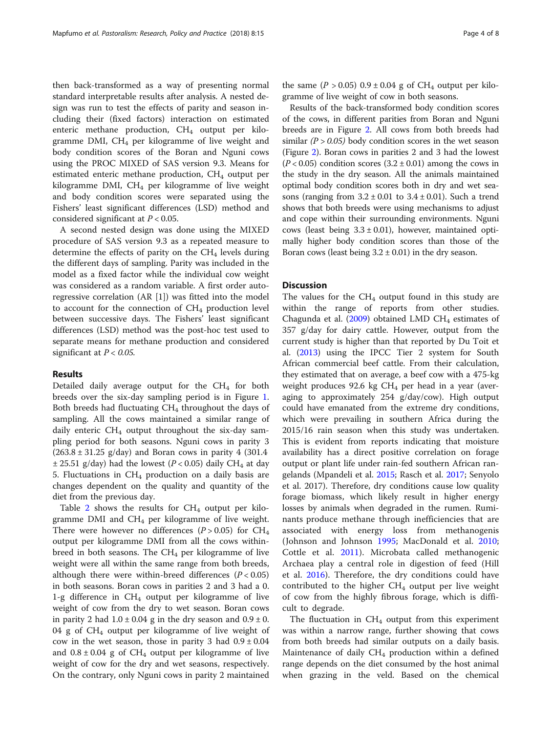then back-transformed as a way of presenting normal standard interpretable results after analysis. A nested design was run to test the effects of parity and season including their (fixed factors) interaction on estimated enteric methane production, CH<sub>4</sub> output per kilogramme DMI,  $CH<sub>4</sub>$  per kilogramme of live weight and body condition scores of the Boran and Nguni cows using the PROC MIXED of SAS version 9.3. Means for estimated enteric methane production,  $CH<sub>4</sub>$  output per kilogramme DMI,  $CH<sub>4</sub>$  per kilogramme of live weight and body condition scores were separated using the Fishers' least significant differences (LSD) method and considered significant at  $P < 0.05$ .

A second nested design was done using the MIXED procedure of SAS version 9.3 as a repeated measure to determine the effects of parity on the  $CH<sub>4</sub>$  levels during the different days of sampling. Parity was included in the model as a fixed factor while the individual cow weight was considered as a random variable. A first order autoregressive correlation (AR [1]) was fitted into the model to account for the connection of  $CH_4$  production level between successive days. The Fishers' least significant differences (LSD) method was the post-hoc test used to separate means for methane production and considered significant at  $P < 0.05$ .

## Results

Detailed daily average output for the  $CH<sub>4</sub>$  for both breeds over the six-day sampling period is in Figure [1](#page-4-0). Both breeds had fluctuating  $CH<sub>4</sub>$  throughout the days of sampling. All the cows maintained a similar range of daily enteric  $CH_4$  output throughout the six-day sampling period for both seasons. Nguni cows in parity 3  $(263.8 \pm 31.25 \text{ g/day})$  and Boran cows in parity 4 (301.4)  $\pm$  25.51 g/day) had the lowest (P < 0.05) daily CH<sub>4</sub> at day 5. Fluctuations in  $CH_4$  production on a daily basis are changes dependent on the quality and quantity of the diet from the previous day.

Table [2](#page-5-0) shows the results for  $CH_4$  output per kilogramme DMI and  $CH_4$  per kilogramme of live weight. There were however no differences  $(P > 0.05)$  for CH<sub>4</sub> output per kilogramme DMI from all the cows withinbreed in both seasons. The  $CH_4$  per kilogramme of live weight were all within the same range from both breeds, although there were within-breed differences  $(P < 0.05)$ in both seasons. Boran cows in parities 2 and 3 had a 0. 1-g difference in  $CH_4$  output per kilogramme of live weight of cow from the dry to wet season. Boran cows in parity 2 had  $1.0 \pm 0.04$  g in the dry season and  $0.9 \pm 0$ . 04 g of CH4 output per kilogramme of live weight of cow in the wet season, those in parity 3 had  $0.9 \pm 0.04$ and  $0.8 \pm 0.04$  g of CH<sub>4</sub> output per kilogramme of live weight of cow for the dry and wet seasons, respectively. On the contrary, only Nguni cows in parity 2 maintained the same ( $P > 0.05$ )  $0.9 \pm 0.04$  g of CH<sub>4</sub> output per kilogramme of live weight of cow in both seasons.

Results of the back-transformed body condition scores of the cows, in different parities from Boran and Nguni breeds are in Figure [2](#page-5-0). All cows from both breeds had similar  $(P > 0.05)$  body condition scores in the wet season (Figure [2](#page-5-0)). Boran cows in parities 2 and 3 had the lowest  $(P<0.05)$  condition scores  $(3.2 \pm 0.01)$  among the cows in the study in the dry season. All the animals maintained optimal body condition scores both in dry and wet seasons (ranging from  $3.2 \pm 0.01$  to  $3.4 \pm 0.01$ ). Such a trend shows that both breeds were using mechanisms to adjust and cope within their surrounding environments. Nguni cows (least being  $3.3 \pm 0.01$ ), however, maintained optimally higher body condition scores than those of the Boran cows (least being  $3.2 \pm 0.01$ ) in the dry season.

#### **Discussion**

The values for the  $CH_4$  output found in this study are within the range of reports from other studies. Chagunda et al. ([2009](#page-6-0)) obtained LMD CH<sub>4</sub> estimates of 357 g/day for dairy cattle. However, output from the current study is higher than that reported by Du Toit et al. [\(2013\)](#page-6-0) using the IPCC Tier 2 system for South African commercial beef cattle. From their calculation, they estimated that on average, a beef cow with a 475-kg weight produces 92.6 kg  $CH<sub>4</sub>$  per head in a year (averaging to approximately 254 g/day/cow). High output could have emanated from the extreme dry conditions, which were prevailing in southern Africa during the 2015/16 rain season when this study was undertaken. This is evident from reports indicating that moisture availability has a direct positive correlation on forage output or plant life under rain-fed southern African rangelands (Mpandeli et al. [2015](#page-7-0); Rasch et al. [2017](#page-7-0); Senyolo et al. 2017). Therefore, dry conditions cause low quality forage biomass, which likely result in higher energy losses by animals when degraded in the rumen. Ruminants produce methane through inefficiencies that are associated with energy loss from methanogenis (Johnson and Johnson [1995](#page-6-0); MacDonald et al. [2010](#page-7-0); Cottle et al. [2011\)](#page-6-0). Microbata called methanogenic Archaea play a central role in digestion of feed (Hill et al. [2016\)](#page-6-0). Therefore, the dry conditions could have contributed to the higher  $CH<sub>4</sub>$  output per live weight of cow from the highly fibrous forage, which is difficult to degrade.

The fluctuation in  $CH_4$  output from this experiment was within a narrow range, further showing that cows from both breeds had similar outputs on a daily basis. Maintenance of daily  $CH_4$  production within a defined range depends on the diet consumed by the host animal when grazing in the veld. Based on the chemical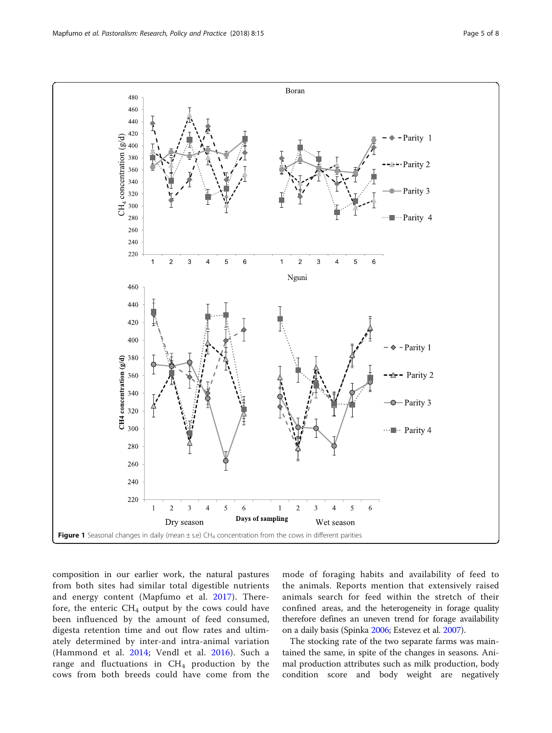<span id="page-4-0"></span>

composition in our earlier work, the natural pastures from both sites had similar total digestible nutrients and energy content (Mapfumo et al. [2017](#page-7-0)). Therefore, the enteric  $CH_4$  output by the cows could have been influenced by the amount of feed consumed, digesta retention time and out flow rates and ultimately determined by inter-and intra-animal variation (Hammond et al. [2014](#page-6-0); Vendl et al. [2016](#page-7-0)). Such a range and fluctuations in CH<sub>4</sub> production by the cows from both breeds could have come from the mode of foraging habits and availability of feed to the animals. Reports mention that extensively raised animals search for feed within the stretch of their confined areas, and the heterogeneity in forage quality therefore defines an uneven trend for forage availability on a daily basis (Spinka [2006;](#page-7-0) Estevez et al. [2007\)](#page-6-0).

The stocking rate of the two separate farms was maintained the same, in spite of the changes in seasons. Animal production attributes such as milk production, body condition score and body weight are negatively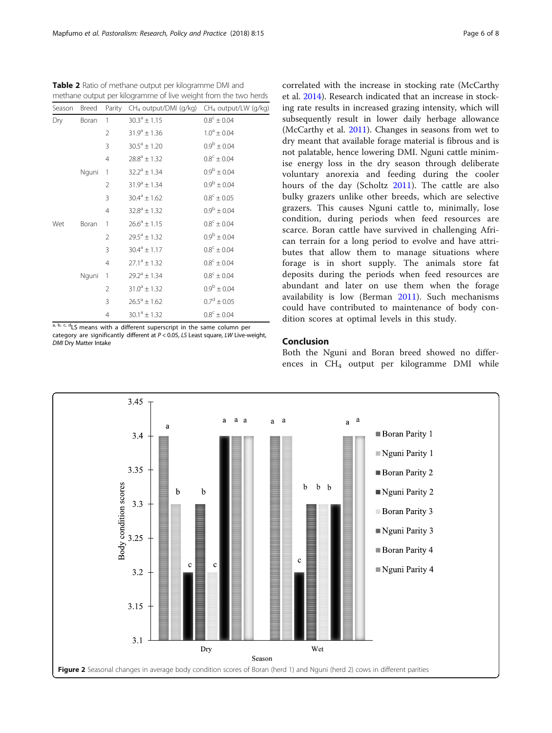ing rate results in increased grazing intensity, which will subsequently result in lower daily herbage allowance (McCarthy et al. [2011\)](#page-7-0). Changes in seasons from wet to dry meant that available forage material is fibrous and is not palatable, hence lowering DMI. Nguni cattle minimise energy loss in the dry season through deliberate voluntary anorexia and feeding during the cooler hours of the day (Scholtz [2011](#page-7-0)). The cattle are also bulky grazers unlike other breeds, which are selective grazers. This causes Nguni cattle to, minimally, lose condition, during periods when feed resources are scarce. Boran cattle have survived in challenging African terrain for a long period to evolve and have attributes that allow them to manage situations where forage is in short supply. The animals store fat deposits during the periods when feed resources are abundant and later on use them when the forage availability is low (Berman [2011\)](#page-6-0). Such mechanisms could have contributed to maintenance of body condition scores at optimal levels in this study.

correlated with the increase in stocking rate (McCarthy et al. [2014\)](#page-7-0). Research indicated that an increase in stock-

## Conclusion

Both the Nguni and Boran breed showed no differences in CH<sub>4</sub> output per kilogramme DMI while



<span id="page-5-0"></span>

| Season | Breed | Parity         | $CH4$ output/DMI (g/kg) | CH <sub>4</sub> output/LW (g/kg) |
|--------|-------|----------------|-------------------------|----------------------------------|
| Dry    | Boran | $\mathbf{1}$   | $30.3^{\circ} \pm 1.15$ | $0.8^{\circ} \pm 0.04$           |
|        |       | 2              | $31.9^a \pm 1.36$       | $1.0^a \pm 0.04$                 |
|        |       | 3              | $30.5^{\circ} \pm 1.20$ | $0.9^{\rm b} \pm 0.04$           |
|        |       | $\overline{4}$ | $28.8^a \pm 1.32$       | $0.8^{\circ} \pm 0.04$           |
|        | Nguni | $\overline{1}$ | $32.2^{\circ} \pm 1.34$ | $0.9^{\rm b} \pm 0.04$           |
|        |       | $\overline{2}$ | $31.9^a \pm 1.34$       | $0.9^{\rm b} \pm 0.04$           |
|        |       | 3              | $30.4^a \pm 1.62$       | $0.8^{\circ} \pm 0.05$           |
|        |       | $\overline{4}$ | $32.8^{\circ} \pm 1.32$ | $0.9^{\rm b} \pm 0.04$           |
| Wet    | Boran | 1              | $26.6^a \pm 1.15$       | $0.8^{\circ} \pm 0.04$           |
|        |       | $\overline{2}$ | $29.5^{\circ} \pm 1.32$ | $0.9^{\rm b} \pm 0.04$           |
|        |       | 3              | $30.4^a \pm 1.17$       | $0.8^{\circ} \pm 0.04$           |
|        |       | $\overline{4}$ | $27.1^a \pm 1.32$       | $0.8^{\circ} \pm 0.04$           |
|        | Nguni | $\overline{1}$ | $29.2^a \pm 1.34$       | $0.8^{\circ} \pm 0.04$           |
|        |       | 2              | $31.0^a \pm 1.32$       | $0.9^{\rm b} \pm 0.04$           |
|        |       | 3              | $26.5^{\circ} \pm 1.62$ | $0.7^d \pm 0.05$                 |
|        |       | 4              | $30.1^a \pm 1.32$       | $0.8^{\circ} \pm 0.04$           |

 $a, b, c, d$ LS means with a different superscript in the same column per

category are significantly different at  $P < 0.05$ , LS Least square, LW Live-weight, DMI Dry Matter Intake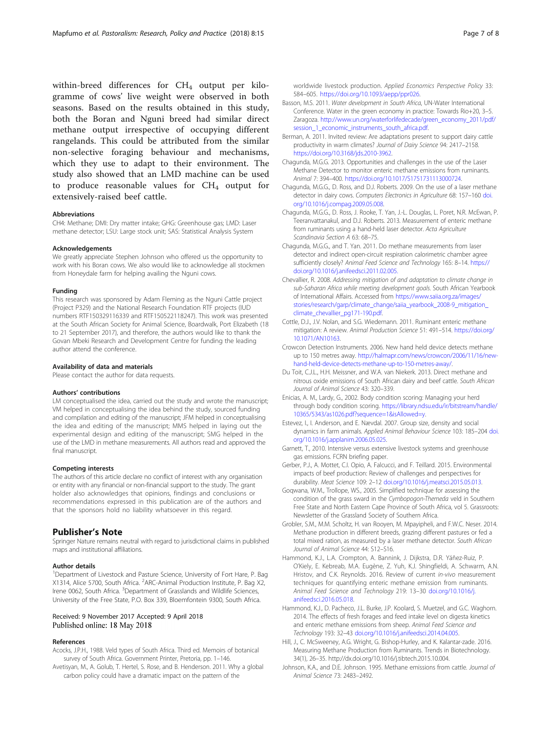<span id="page-6-0"></span>within-breed differences for  $CH_4$  output per kilogramme of cows' live weight were observed in both seasons. Based on the results obtained in this study, both the Boran and Nguni breed had similar direct methane output irrespective of occupying different rangelands. This could be attributed from the similar non-selective foraging behaviour and mechanisms, which they use to adapt to their environment. The study also showed that an LMD machine can be used to produce reasonable values for  $CH<sub>4</sub>$  output for extensively-raised beef cattle.

#### Abbreviations

CH4: Methane; DMI: Dry matter intake; GHG: Greenhouse gas; LMD: Laser methane detector; LSU: Large stock unit; SAS: Statistical Analysis System

#### Acknowledgements

We greatly appreciate Stephen Johnson who offered us the opportunity to work with his Boran cows. We also would like to acknowledge all stockmen from Honeydale farm for helping availing the Nguni cows.

#### Funding

This research was sponsored by Adam Fleming as the Nguni Cattle project (Project P329) and the National Research Foundation RTF projects (IUD numbers RTF150329116339 and RTF150522118247). This work was presented at the South African Society for Animal Science, Boardwalk, Port Elizabeth (18 to 21 September 2017), and therefore, the authors would like to thank the Govan Mbeki Research and Development Centre for funding the leading author attend the conference.

#### Availability of data and materials

Please contact the author for data requests.

#### Authors' contributions

LM conceptualised the idea, carried out the study and wrote the manuscript; VM helped in conceptualising the idea behind the study, sourced funding and compilation and editing of the manuscript; JFM helped in conceptualising the idea and editing of the manuscript; MMS helped in laying out the experimental design and editing of the manuscript; SMG helped in the use of the LMD in methane measurements. All authors read and approved the final manuscript.

#### Competing interests

The authors of this article declare no conflict of interest with any organisation or entity with any financial or non-financial support to the study. The grant holder also acknowledges that opinions, findings and conclusions or recommendations expressed in this publication are of the authors and that the sponsors hold no liability whatsoever in this regard.

#### Publisher's Note

Springer Nature remains neutral with regard to jurisdictional claims in published maps and institutional affiliations.

#### Author details

<sup>1</sup>Department of Livestock and Pasture Science, University of Fort Hare, P. Bag X1314, Alice 5700, South Africa. <sup>2</sup>ARC-Animal Production Institute, P. Bag X2, Irene 0062, South Africa. <sup>3</sup>Department of Grasslands and Wildlife Sciences, University of the Free State, P.O. Box 339, Bloemfontein 9300, South Africa.

#### Received: 9 November 2017 Accepted: 9 April 2018 Published online: 18 May 2018

#### References

- Acocks, J.P.H., 1988. Veld types of South Africa. Third ed. Memoirs of botanical survey of South Africa. Government Printer, Pretoria, pp. 1–146.
- Avetisyan, M., A. Golub, T. Hertel, S. Rose, and B. Henderson. 2011. Why a global carbon policy could have a dramatic impact on the pattern of the

worldwide livestock production. Applied Economics Perspective Policy 33: 584–605. [https://doi.org/10.1093/aepp/ppr026.](https://doi.org/10.1093/aepp/ppr026)

- Basson, M.S. 2011. Water development in South Africa, UN-Water International Conference. Water in the green economy in practice: Towards Rio+20, 3–5. Zaragoza. [http://www.un.org/waterforlifedecade/green\\_economy\\_2011/pdf/](http://www.un.org/waterforlifedecade/green_economy_2011/pdf/session_1_economic_instruments_south_africa.pdf) [session\\_1\\_economic\\_instruments\\_south\\_africa.pdf.](http://www.un.org/waterforlifedecade/green_economy_2011/pdf/session_1_economic_instruments_south_africa.pdf)
- Berman, A. 2011. Invited review: Are adaptations present to support dairy cattle productivity in warm climates? Journal of Dairy Science 94: 2417–2158. <https://doi.org/10.3168/jds.2010-3962>.
- Chagunda, M.G.G. 2013. Opportunities and challenges in the use of the Laser Methane Detector to monitor enteric methane emissions from ruminants. Animal 7: 394–400. <https://doi.org/10.1017/S1751731113000724>.
- Chagunda, M.G.G., D. Ross, and D.J. Roberts. 2009. On the use of a laser methane detector in dairy cows. Computers Electronics in Agriculture 68: 157–160 [doi.](http://doi.org/10.1016/j.compag.2009.05.008) [org/10.1016/j.compag.2009.05.008.](http://doi.org/10.1016/j.compag.2009.05.008)
- Chagunda, M.G.G., D. Ross, J. Rooke, T. Yan, J.-L. Douglas, L. Poret, N.R. McEwan, P. Teeranvattanakul, and D.J. Roberts. 2013. Measurement of enteric methane from ruminants using a hand-held laser detector. Acta Agriculture Scandinavia Section A 63: 68–75.
- Chagunda, M.G.G., and T. Yan. 2011. Do methane measurements from laser detector and indirect open-circuit respiration calorimetric chamber agree sufficiently closely? Animal Feed Science and Technology 165: 8–14. [https://](https://doi.org/10.1016/j.anifeedsci.2011.02.005.) [doi.org/10.1016/j.anifeedsci.2011.02.005.](https://doi.org/10.1016/j.anifeedsci.2011.02.005.)
- Chevallier, R. 2008. Addressing mitigation of and adaptation to climate change in sub-Saharan Africa while meeting development goals. South African Yearbook of International Affairs. Accessed from [https://www.saiia.org.za/images/](https://www.saiia.org.za/images/stories/research/garp/climate_change/saiia_yearbook_2008-9_mitigation_climate_chevallier_pg171-190.pdf) [stories/research/garp/climate\\_change/saiia\\_yearbook\\_2008-9\\_mitigation\\_](https://www.saiia.org.za/images/stories/research/garp/climate_change/saiia_yearbook_2008-9_mitigation_climate_chevallier_pg171-190.pdf) [climate\\_chevallier\\_pg171-190.pdf](https://www.saiia.org.za/images/stories/research/garp/climate_change/saiia_yearbook_2008-9_mitigation_climate_chevallier_pg171-190.pdf).
- Cottle, D.J., J.V. Nolan, and S.G. Wiedemann. 2011. Ruminant enteric methane mitigation: A review. Animal Production Science 51: 491–514. [https://doi.org/](https://doi.org/10.1071/AN10163) [10.1071/AN10163.](https://doi.org/10.1071/AN10163)
- Crowcon Detection Instruments. 2006. New hand held device detects methane up to 150 metres away. [http://halmapr.com/news/crowcon/2006/11/16/new](http://halmapr.com/news/crowcon/2006/11/16/new-hand-held-device-detects-methane-up-to-150-metres-away/)[hand-held-device-detects-methane-up-to-150-metres-away/.](http://halmapr.com/news/crowcon/2006/11/16/new-hand-held-device-detects-methane-up-to-150-metres-away/)
- Du Toit, C.J.L., H.H. Meissner, and W.A. van Niekerk. 2013. Direct methane and nitrous oxide emissions of South African dairy and beef cattle. South African Journal of Animal Science 43: 320–339.
- Enicias, A. M., Lardy, G., 2002. Body condition scoring: Managing your herd through body condition scoring. [https://library.ndsu.edu/ir/bitstream/handle/](https://library.ndsu.edu/ir/bitstream/handle/10365/5343/as1026.pdf?sequence=1&isAllowed=y) [10365/5343/as1026.pdf?sequence=1&isAllowed=y.](https://library.ndsu.edu/ir/bitstream/handle/10365/5343/as1026.pdf?sequence=1&isAllowed=y)
- Estevez, I., I. Anderson, and E. Nævdal. 2007. Group size, density and social dynamics in farm animals. Applied Animal Behaviour Science 103: 185–204 [doi.](http://doi.org/10.1016/j.applanim.2006.05.025) [org/10.1016/j.applanim.2006.05.025.](http://doi.org/10.1016/j.applanim.2006.05.025)
- Garnett, T., 2010. Intensive versus extensive livestock systems and greenhouse gas emissions. FCRN briefing paper.
- Gerber, P.J., A. Mottet, C.I. Opio, A. Falcucci, and F. Teillard. 2015. Environmental impacts of beef production: Review of challenges and perspectives for durability. Meat Science 109: 2–12 [doi.org/10.1016/j.meatsci.2015.05.013](http://doi.org/10.1016/j.meatsci.2015.05.013).
- Goqwana, W.M., Trollope, WS., 2005. Simplified technique for assessing the condition of the grass sward in the Cymbopogon-Themeda veld in Southern Free State and North Eastern Cape Province of South Africa, vol 5. Grassroots: Newsletter of the Grassland Society of Southern Africa.
- Grobler, S.M., M.M. Scholtz, H. van Rooyen, M. Mpayipheli, and F.W.C. Neser. 2014. Methane production in different breeds, grazing different pastures or fed a total mixed ration, as measured by a laser methane detector. South African Journal of Animal Science 44: S12–S16.
- Hammond, K.J., L.A. Crompton, A. Bannink, J. Dijkstra, D.R. Yáñez-Ruiz, P. O'Kiely, E. Kebreab, M.A. Eugène, Z. Yuh, K.J. Shingfieldi, A. Schwarm, A.N. Hristov, and C.K. Reynolds. 2016. Review of current in-vivo measurement techniques for quantifying enteric methane emission from ruminants. Animal Feed Science and Technology 219: 13–30 [doi.org/10.1016/j.](http://doi.org/10.1016/j.anifeedsci.2016.05.018) [anifeedsci.2016.05.018](http://doi.org/10.1016/j.anifeedsci.2016.05.018).
- Hammond, K.J., D. Pacheco, J.L. Burke, J.P. Koolard, S. Muetzel, and G.C. Waghorn. 2014. The effects of fresh forages and feed intake level on digesta kinetics and enteric methane emissions from sheep. Animal Feed Science and Technology 193: 32–43 [doi.org/10.1016/j.anifeedsci.2014.04.005.](http://doi.org/10.1016/j.anifeedsci.2014.04.005)
- Hill, J., C. McSweeney, A.G. Wright, G. Bishop-Hurley, and K. Kalantar-zade. 2016. Measuring Methane Production from Ruminants. Trends in Biotechnology. 34(1), 26–35. http://dx.doi.org/10.1016/j.tibtech.2015.10.004.
- Johnson, K.A., and D.E. Johnson. 1995. Methane emissions from cattle. Journal of Animal Science 73: 2483–2492.